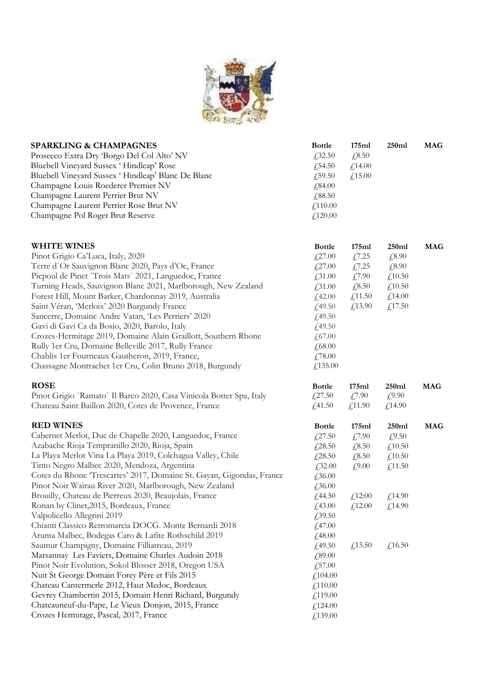

| <b>SPARKLING &amp; CHAMPAGNES</b><br>Prosecco Extra Dry Borgo Del Col Alto' NV<br>Bluebell Vineyard Sussex 'Hindleap' Rose<br>Bluebell Vineyard Sussex 'Hindleap' Blanc De Blanc<br>Champagne Louis Roederer Premier NV<br>Champagne Laurent Perrier Brut NV<br>Champagne Laurent Perrier Rose Brut NV<br>Champagne Pol Roger Brut Reserve                                                                                                                                                                                                                                                                                                                                                                                                                                                                                                                                                                                                                                                                                                                    | <b>Bottle</b><br>£32.50<br>£54.50<br>£,59.50<br>£,84.00<br>£,88.50<br>£110.00<br>£120.00                                                                                                                                         | 175ml<br>£,8.50<br>£14.00<br>£15.00                                               | 250ml                                                                         | <b>MAG</b> |
|---------------------------------------------------------------------------------------------------------------------------------------------------------------------------------------------------------------------------------------------------------------------------------------------------------------------------------------------------------------------------------------------------------------------------------------------------------------------------------------------------------------------------------------------------------------------------------------------------------------------------------------------------------------------------------------------------------------------------------------------------------------------------------------------------------------------------------------------------------------------------------------------------------------------------------------------------------------------------------------------------------------------------------------------------------------|----------------------------------------------------------------------------------------------------------------------------------------------------------------------------------------------------------------------------------|-----------------------------------------------------------------------------------|-------------------------------------------------------------------------------|------------|
| <b>WHITE WINES</b><br>Pinot Grigio Ca'Luca, Italy, 2020<br>Terre d'Or Sauvignon Blanc 2020, Pays d'Oc, France<br>Picpoul de Pinet 'Trois Mats' 2021, Languedoc, France<br>Turning Heads, Sauvignon Blanc 2021, Marlborough, New Zealand<br>Forest Hill, Mount Barker, Chardonnay 2019, Australia<br>Saint Véran, 'Merloix' 2020 Burgundy France<br>Sancerre, Domaine Andre Vatan, 'Les Perriers' 2020<br>Gavi di Gavi Ca da Bosio, 2020, Barolo, Italy<br>Crozes-Hermitage 2019, Domaine Alain Graillott, Southern Rhone<br>Rully 1er Cru, Domaine Belleville 2017, Rully France<br>Chablis 1er Fourneaux Gautheron, 2019, France,<br>Chassagne Montrachet 1er Cru, Colin Bruno 2018, Burgundy                                                                                                                                                                                                                                                                                                                                                                | <b>Bottle</b><br>$\textcolor{red}{\downarrow}27.00$<br>$\textcolor{red}{\downarrow}27.00$<br>$\textcolor{blue}{\cancel{2}}31.00$<br>£,31.00<br>£42.00<br>£49.50<br>£49.50<br>£49.50<br>£ $67.00$<br>£,68.00<br>£78.00<br>£135.00 | 175ml<br>£7.25<br>£7.25<br>£7.90<br>£8.50<br>£11.50<br>£13.90                     | 250ml<br>£8.90<br>£8.90<br>£10.50<br>£10.50<br>£14.00<br>£,17.50              | <b>MAG</b> |
| <b>ROSE</b><br>Pinot Grigio `Ramato` Il Barco 2020, Casa Vinicola Botter Spa, Italy<br>Chateau Saint Baillon 2020, Cotes de Provence, France                                                                                                                                                                                                                                                                                                                                                                                                                                                                                                                                                                                                                                                                                                                                                                                                                                                                                                                  | <b>Bottle</b><br>£27.50<br>f(41.50)                                                                                                                                                                                              | 175ml<br>$\textsterling 7.90$<br>£11.90                                           | 250ml<br>£9.90<br>£14.90                                                      | <b>MAG</b> |
| <b>RED WINES</b><br>Cabernet Merlot, Duc de Chapelle 2020, Languedoc, France<br>Azabache Rioja Tempranillo 2020, Rioja, Spain<br>La Playa Merlot Vina La Playa 2019, Colchagua Valley, Chile<br>Tinto Negro Malbec 2020, Mendoza, Argentina<br>Cotes du Rhone 'Trescartes' 2017, Domaine St. Gayan, Gigondas, France<br>Pinot Noir Wairau River 2020, Marlborough, New Zealand<br>Brouilly, Chateau de Pierreux 2020, Beaujolais, France<br>Ronan by Clinet, 2015, Bordeaux, France<br>Valpolicello Allegrini 2019<br>Chianti Classico Retromarcia DOCG. Monte Bernardi 2018<br>Aruma Malbec, Bodegas Caro & Lafite Rothschild 2019<br>Saumur Champigny, Domaine Filliatreau, 2019<br>Marsannay Les Faviers, Domaine Charles Audoin 2018<br>Pinot Noir Evolution, Sokol Blosser 2018, Oregon USA<br>Nuit St George Domain Forey Père et Fils 2015<br>Chateau Cantermerle 2012, Haut Medoc, Bordeaux<br>Gevrey Chambertin 2015, Domain Henri Richard, Burgundy<br>Chateauneuf-du-Pape, Le Vieux Donjon, 2015, France<br>Crozes Hermitage, Pascal, 2017, France | <b>Bottle</b><br>£27.50<br>£28.50<br>£28.50<br>£32.00<br>£36.00<br>£,36.00<br>£44.50<br>£43.00<br>£39.50<br>£47.00<br>£48.00<br>£,49.50<br>£,89.00<br>£57.00<br>£104.00<br>£110.00<br>£119.00<br>£124.00<br>£139.00              | 175ml<br>£7.90<br>£,8.50<br>£8.50<br>f(9.00)<br>$f_{12}:00$<br>f(12.00)<br>£13.50 | 250ml<br>£9.50<br>£10.50<br>£10.50<br>f,11.50<br>£14.90<br>£,14.90<br>£,16.50 | <b>MAG</b> |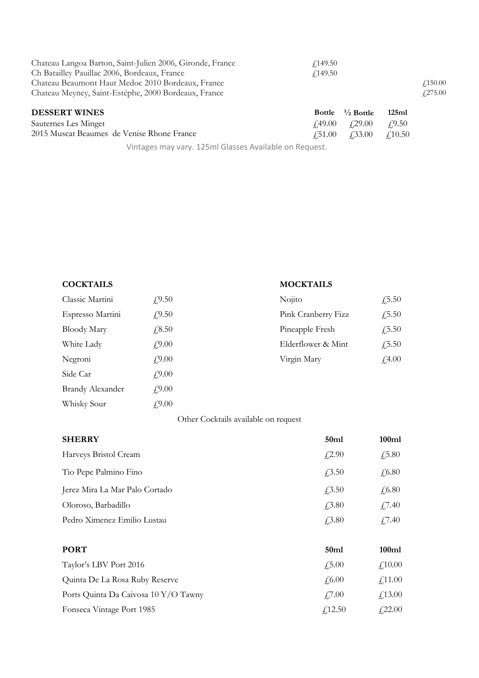| Chateau Langoa Barton, Saint-Julien 2006, Gironde, France | $\angle 149.50$                                           |                 |
|-----------------------------------------------------------|-----------------------------------------------------------|-----------------|
| Ch Batailley Pauillac 2006, Bordeaux, France              | $\angle 149.50$                                           |                 |
| Chateau Beaumont Haut Medoc 2010 Bordeaux, France         |                                                           | $\angle 150.00$ |
| Chateau Meyney, Saint-Estéphe, 2000 Bordeaux, France      |                                                           | f275.00         |
| <b>DESSERT WINES</b>                                      | $\frac{1}{2}$ Bottle<br><b>Bottle</b>                     | 125ml           |
| Sauternes Les Minget                                      | $\textit{\textbf{f}}$ ,49.00 $\textit{\textbf{f}}$ ,29.00 | $\angle 9.50$   |

2015 Muscat Beaumes de Venise Rhone France £51.00 £33.00 £10.50

Vintages may vary. 125ml Glasses Available on Request.

| Classic Martini         | f9.50          |
|-------------------------|----------------|
| Espresso Martini        | f9.50          |
| <b>Bloody Mary</b>      | £8.50          |
| White Lady              | $f_{1}^{9.00}$ |
| Negroni                 | $f_{1}^{9.00}$ |
| Side Car                | $f_{1}^{9.00}$ |
| <b>Brandy Alexander</b> | f9.00          |
| Whisky Sour             | $f_{1}^{9.00}$ |

## **COCKTAILS MOCKTAILS**

| Classic Martini  | f9.50        | Nojito              | $\sqrt{.5.50}$ |
|------------------|--------------|---------------------|----------------|
| Espresso Martini | f(9.50)      | Pink Cranberry Fizz | $\sqrt{.5.50}$ |
| Bloody Mary      | $\sqrt{.50}$ | Pineapple Fresh     | $\sqrt{.5.50}$ |
| White Lady       | f9.00        | Elderflower & Mint  | $\sqrt{.5.50}$ |
| Negroni          | £9.00        | Virgin Mary         | f4.00          |

## Other Cocktails available on request

| <b>SHERRY</b>                  | 50ml             | 100ml         |
|--------------------------------|------------------|---------------|
| Harveys Bristol Cream          | f(2.90)          | $\sqrt{5.80}$ |
| Tio Pepe Palmino Fino          | $\sqrt{3.50}$    | $\sqrt{6.80}$ |
| Jerez Mira La Mar Palo Cortado | $\sqrt{3.50}$    | $\sqrt{6.80}$ |
| Oloroso, Barbadillo            | $\sqrt{3.80}$    | £7.40         |
| Pedro Ximenez Emilio Lustau    | $\sqrt{3.80}$    | £7.40         |
| <b>PORT</b>                    | 50 <sub>ml</sub> | 100ml         |
| Taylor's LBV Port 2016         | $\sqrt{5.00}$    | f10.00        |

Quinta De La Rosa Ruby Reserve  $\qquad \qquad \text{\large\it \pounds}6.00 \qquad \qquad \text{\large\it \pounds}11.00$ Ports Quinta Da Caivosa 10 Y/O Tawny  $f$ 7.00  $f$ 13.00 Fonseca Vintage Port 1985  $f_2$ 12.50  $f_3$ 22.00